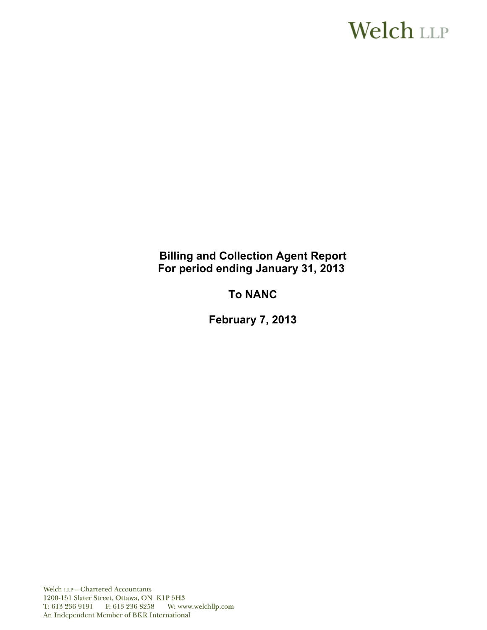# **Welch LLP**

# **Billing and Collection Agent Report For period ending January 31, 2013**

# **To NANC**

**February 7, 2013**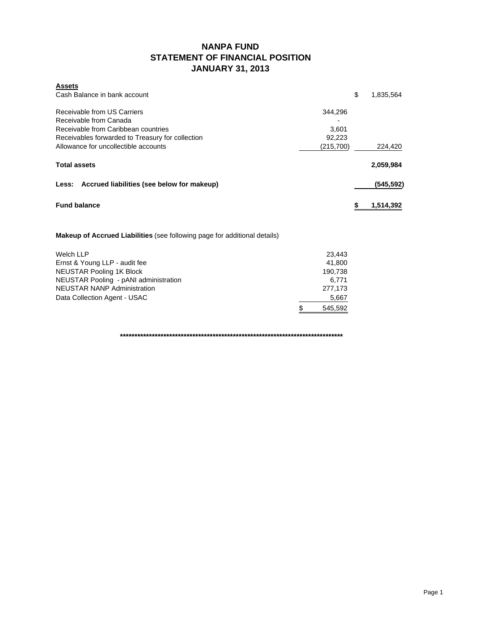### **NANPA FUND STATEMENT OF FINANCIAL POSITION JANUARY 31, 2013**

| <b>Assets</b><br>Cash Balance in bank account    | \$        | 1,835,564 |  |  |  |
|--------------------------------------------------|-----------|-----------|--|--|--|
| Receivable from US Carriers                      | 344,296   |           |  |  |  |
| Receivable from Canada                           |           |           |  |  |  |
| Receivable from Caribbean countries              | 3.601     |           |  |  |  |
| Receivables forwarded to Treasury for collection | 92,223    |           |  |  |  |
| Allowance for uncollectible accounts             | (215,700) | 224,420   |  |  |  |
| <b>Total assets</b>                              |           | 2,059,984 |  |  |  |
| Less: Accrued liabilities (see below for makeup) |           | (545,592) |  |  |  |
| <b>Fund balance</b>                              |           |           |  |  |  |
|                                                  |           |           |  |  |  |

**Makeup of Accrued Liabilities** (see following page for additional details)

| Welch LLP                             | 23.443  |
|---------------------------------------|---------|
| Ernst & Young LLP - audit fee         | 41.800  |
| NEUSTAR Pooling 1K Block              | 190.738 |
| NEUSTAR Pooling - pANI administration | 6.771   |
| <b>NEUSTAR NANP Administration</b>    | 277,173 |
| Data Collection Agent - USAC          | 5,667   |
|                                       | 545,592 |

**\*\*\*\*\*\*\*\*\*\*\*\*\*\*\*\*\*\*\*\*\*\*\*\*\*\*\*\*\*\*\*\*\*\*\*\*\*\*\*\*\*\*\*\*\*\*\*\*\*\*\*\*\*\*\*\*\*\*\*\*\*\*\*\*\*\*\*\*\*\*\*\*\*\*\*\*\***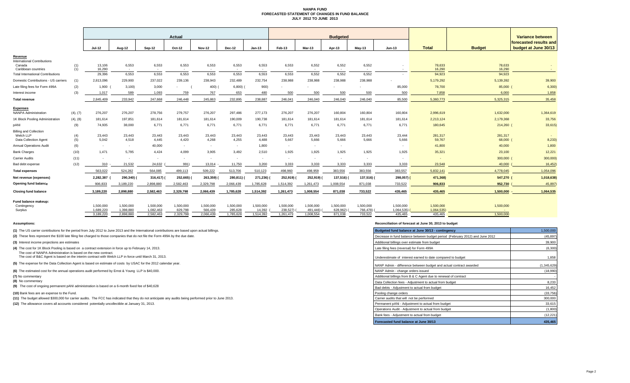#### **NANPA FUND FORECASTED STATEMENT OF CHANGES IN FUND BALANCE JULY 2012 TO JUNE 2013**

|                                                |            | Actual                 |                        |                        |                      |                          |                      | <b>Budgeted</b>     |                       |                          |                     |                          |                                    |                       | Variance between  |                                                |
|------------------------------------------------|------------|------------------------|------------------------|------------------------|----------------------|--------------------------|----------------------|---------------------|-----------------------|--------------------------|---------------------|--------------------------|------------------------------------|-----------------------|-------------------|------------------------------------------------|
|                                                |            | Jul-12                 | Aug-12                 | Sep-12                 | Oct-12               | <b>Nov-12</b>            | Dec-12               | $Jan-13$            | Feb-13                | Mar-13                   | Apr-13              | $May-13$                 | Jun-13                             | <b>Total</b>          | <b>Budget</b>     | forecasted results and<br>budget at June 30/13 |
| Revenue<br><b>International Contributions</b>  |            |                        |                        |                        |                      |                          |                      |                     |                       |                          |                     |                          |                                    |                       |                   |                                                |
| Canada<br>Caribbean countries                  | (1)<br>(1) | 13,106<br>16.290       | 6,553<br>$\sim$        | 6,553<br>$\sim$        | 6,553<br>$\sim$      | 6,553<br>$\sim$          | 6,553<br>$\sim$      | 6,553<br>$\sim$ $-$ | 6,553<br>$\sim$       | 6,552<br>$\sim$          | 6,552<br>$\sim$     | 6,552<br>$\sim$          | $\overline{\phantom{a}}$<br>$\sim$ | 78,633<br>16,290      | 78,633<br>16,290  | $\sim$                                         |
| <b>Total International Contributions</b>       |            | 29,396                 | 6,553                  | 6,553                  | 6,553                | 6,553                    | 6,553                | 6,553               | 6,553                 | 6,552                    | 6,552               | 6,552                    | $\overline{\phantom{a}}$           | 94,923                | 94,923            |                                                |
| Domestic Contributions - US carriers           | (1)        | 2,813,096              | 229,900                | 237,022                | 239,136              | 238,943                  | 232,489              | 232,754             | 238,988               | 238,988                  | 238,988             | 238,988                  |                                    | 5,179,292             | 5,139,392         | 39,900                                         |
| Late filing fees for Form 499A                 | (2)        | 1,900                  | 3,100                  | 3,000                  |                      | 400)                     | 6,800                | 900)                |                       |                          |                     |                          | 85,000                             | 78,700                | 85,000            | 6,300                                          |
| Interest income                                | (3)        | 1,017                  | 589                    | 1,093                  | 759                  | 767                      | 653                  | 480                 | 500                   | 500                      | 500                 | 500                      | 500                                | 7,858                 | 6,000             | 1,858                                          |
| <b>Total revenue</b>                           |            | 2,845,409              | 233.942                | 247.668                | 246.448              | 245.863                  | 232,895              | 238,887             | 246.041               | 246.040                  | 246,040             | 246,040                  | 85,500                             | 5,360,773             | 5,325,315         | 35,458                                         |
|                                                |            |                        |                        |                        |                      |                          |                      |                     |                       |                          |                     |                          |                                    |                       |                   |                                                |
| <b>Expenses</b><br><b>NANPA Administration</b> | (4), (7)   | 276,207                | 276,207                | 278,756                | 279,757              | 276,207                  | 297,486              | 277,173             | 276,207               | 276,207                  | 160,804             | 160,804                  | 160,804                            | 2,996,619             | 1,632,000         | 1,364,619                                      |
| 1K Block Pooling Administration                | (4), (8)   | 181,614                | 197,851                | 181,614                | 181,614              | 181,614                  | 190,009              | 190,738             | 181,614               | 181,614                  | 181,614             | 181,614                  | 181,614                            | 2,213,124             | 2,179,368         | 33,756                                         |
| pANI                                           | (9)        | 74,935                 | 38,000                 | 6,771                  | 6,771                | 6,771                    | 6,771                | 6,771               | 6,771                 | 6,771                    | 6,771               | 6,771                    | 6,771                              | 180,645               | 214,260           | 33,615)                                        |
| <b>Billing and Collection</b>                  |            |                        |                        |                        |                      |                          |                      |                     |                       |                          |                     |                          |                                    |                       |                   |                                                |
| Welch LLP<br>Data Collection Agent             | (4)<br>(5) | 23,443<br>5,042        | 23,443<br>4,518        | 23,443<br>4,445        | 23,443<br>4,420      | 23,443<br>4,268          | 23,443<br>4,255      | 23,443<br>4,488     | 23,443<br>5,667       | 23,443<br>5,666          | 23,443<br>5,666     | 23,443<br>5,666          | 23,444<br>5,666                    | 281,317<br>59,767     | 281,317<br>68,000 | 8,233                                          |
| <b>Annual Operations Audit</b>                 | (6)        | $\sim$                 | $\sim$                 | 40,000                 | $\sim$               | $\sim$                   | $\sim$               | 1,800               | $\sim$                | $\sim$                   | $\sim$              |                          | $\sim$                             | 41,800                | 40,000            | 1,800                                          |
| <b>Bank Charges</b>                            | (10)       | 1.471                  | 5.795                  | 4.424                  | 4.099                | 3.905                    | 3.492                | 2,510               | 1.925                 | 1.925                    | 1.925               | 1.925                    | 1,925                              | 35,321                | 23,100            | 12,221                                         |
| <b>Carrier Audits</b>                          | (11)       | $\sim$                 | $\sim$                 | $\sim$                 |                      | $\overline{\phantom{a}}$ |                      | $\sim$              |                       | $\overline{\phantom{a}}$ | <b>1999</b>         | $\overline{\phantom{a}}$ | $\overline{\phantom{a}}$           | $\sim$                | 300,000           | 300,000                                        |
| Bad debt expense                               | (12)       | 310                    | 21,532                 | 24,632                 | 991)                 | 13,014                   | 11,750               | 3,200               | 3,333                 | 3,333                    | 3,333               | 3,333                    | 3,333                              | 23,548                | 40,000            | 16,452                                         |
| <b>Total expenses</b>                          |            | 563.022                | 524,282                | 564,085                | 499,113              | 509,222                  | 513,706              | 510,123             | 498,960               | 498,959                  | 383,556             | 383,556                  | 383,557                            | 5.832.141             | 4,778,045         | 1,054,096                                      |
| Net revenue (expenses)                         |            | 2,282,387              | 290,340) (             | 316,417)               | 252,665)             | 263,359) (               | 280,811)             | 271,236)            | 252,919)              | 252,919)                 | 137,516)            | 137,516) (               | 298,057) (                         | 471,368)              | 547,270           | 1,018,638)                                     |
| Opening fund balance                           |            | 906,833                | 3,189,220              | 2,898,880              | 2,582,463            | 2,329,798                | 2,066,439            | 1,785,628           | 1,514,392             | 1,261,473                | 1,008,554           | 871,038                  | 733,522                            | 906,833               | 952,730           | 45,897                                         |
| <b>Closing fund balance</b>                    |            | 3,189,220              | 2.898.880              | 2.582.463              | 2.329.798            | 2.066.439                | 1.785.628            | 1.514.392           | 1,261,473             | 1.008.554                | 871.038             | 733,522                  | 435,465                            | 435,465               | 1.500.000         | 1,064,535                                      |
| Fund balance makeup:                           |            |                        |                        |                        |                      |                          |                      |                     |                       |                          |                     |                          |                                    |                       |                   |                                                |
| Contingency                                    |            | 1,500,000              | 1,500,000              | 1,500,000              | 1,500,000            | 1,500,000                | 1,500,000            | 1,500,000           | 1,500,000             | 1,500,000                | 1.500.000           | 1,500,000                | 1,500,000                          | 1,500,000             | 1,500,000         |                                                |
| Surplus                                        |            | 1,689,220<br>3,189,220 | 1,398,880<br>2,898,880 | 1,082,463<br>2,582,463 | 829,798<br>2,329,798 | 566.439<br>2,066,439     | 285,628<br>1,785,628 | 14,392<br>1,514,392 | 238,527)<br>1,261,473 | 491,446)<br>1,008,554    | 628,962)<br>871,038 | 766,478)<br>733,522      | 1,064,535)<br>435,465              | 1,064,535)<br>435,465 | 1.500.000         |                                                |
|                                                |            |                        |                        |                        |                      |                          |                      |                     |                       |                          |                     |                          |                                    |                       |                   |                                                |

**(8)** No commentary

#### **Assumptions: Reconciliation of forecast at June 30, 2013 to budget**

| (1) The US carrier contributions for the period from July 2012 to June 2013 and the International contributions are based upon actual billings.                        | Budgeted fund balance at June 30/13 - contingency                            | 1,500,000   |
|------------------------------------------------------------------------------------------------------------------------------------------------------------------------|------------------------------------------------------------------------------|-------------|
| (2) These fees represent the \$100 late filing fee charged to those companies that do not file the Form 499A by the due date.                                          | Decrease in fund balance between budget period (February 2012) and June 2012 | (45, 897)   |
| (3) Interest income projections are estimates                                                                                                                          | Additional billings over estimate from budget                                | 39,900      |
| (4) The cost for 1K Block Pooling is based on a contract extension in force up to February 14, 2013.                                                                   | Late filing fees (reversal) for Form 499A                                    | (6,300)     |
| The cost of NANPA Administration is based on the new contract.<br>The cost of B&C Agent is based on the interim contract with Welch LLP in force until March 31, 2013. | Underestimate of interest earned to date compared to budget                  | 1,858       |
| (5) The expense for the Data Collection Agent is based on estimate of costs by USAC for the 2012 calendar year.                                                        | NANP Admin - difference between budget and actual contract awarded           | (1,345,629) |
| (6) The estimated cost for the annual operations audit performed by Ernst & Young LLP is \$40,000.                                                                     | NANP Admin - change orders issued                                            | (18,990)    |
| (7) No commentary                                                                                                                                                      | Additional billings from B & C Agent due to renewal of contract              |             |
| (8) No commentary                                                                                                                                                      | Data Collection fees - Adiustment to actual from budget                      | 8.233       |
| (9) The cost of ongoing permanent pANI administration is based on a 6-month fixed fee of \$40,628                                                                      | Bad debts - Adiustment to actual from budget                                 | 16,452      |
| (10) Bank fees are an expense to the Fund.                                                                                                                             | Pooling change orders                                                        | (33, 756)   |
| (11) The budget allowed \$300,000 for carrier audits. The FCC has indicated that they do not anticipate any audits being performed prior to June 2013.                 | Carrier audits that will not be performed                                    | 300,000     |
| (12) The allowance covers all accounts considered potentially uncollectible at January 31, 2013.                                                                       | Permanent pANi - Adjustment to actual from budget                            | 33,615      |
|                                                                                                                                                                        | Operations Audit - Adjustment to actual from budget                          | (1,800)     |
|                                                                                                                                                                        | Bank fees - Adjustment to actual from budget                                 | (12, 221)   |
|                                                                                                                                                                        | Forecasted fund balance at June 30/13                                        | 435,465     |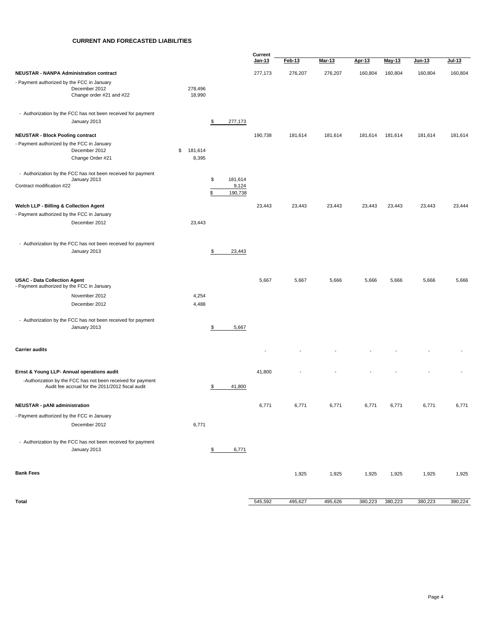#### **CURRENT AND FORECASTED LIABILITIES**

|                                                                                         |                        |                          | Current       |         |         |         |         |         |         |
|-----------------------------------------------------------------------------------------|------------------------|--------------------------|---------------|---------|---------|---------|---------|---------|---------|
|                                                                                         |                        |                          | <u>Jan-13</u> | Feb-13  | Mar-13  | Apr-13  | May-13  | Jun-13  | Jul-13  |
| <b>NEUSTAR - NANPA Administration contract</b>                                          |                        |                          | 277,173       | 276,207 | 276,207 | 160,804 | 160,804 | 160,804 | 160,804 |
| - Payment authorized by the FCC in January<br>December 2012<br>Change order #21 and #22 | 278,496<br>18,990      |                          |               |         |         |         |         |         |         |
| - Authorization by the FCC has not been received for payment                            |                        |                          |               |         |         |         |         |         |         |
| January 2013                                                                            |                        | $\frac{1}{2}$<br>277,173 |               |         |         |         |         |         |         |
| <b>NEUSTAR - Block Pooling contract</b>                                                 |                        |                          | 190,738       | 181,614 | 181,614 | 181,614 | 181,614 | 181,614 | 181,614 |
| - Payment authorized by the FCC in January                                              |                        |                          |               |         |         |         |         |         |         |
| December 2012<br>Change Order #21                                                       | 181,614<br>\$<br>8,395 |                          |               |         |         |         |         |         |         |
| - Authorization by the FCC has not been received for payment                            |                        |                          |               |         |         |         |         |         |         |
| January 2013<br>Contract modification #22                                               |                        | \$<br>181,614<br>9,124   |               |         |         |         |         |         |         |
|                                                                                         |                        | \$<br>190,738            |               |         |         |         |         |         |         |
| Welch LLP - Billing & Collection Agent                                                  |                        |                          | 23,443        | 23,443  | 23,443  | 23,443  | 23,443  | 23,443  | 23,444  |
| - Payment authorized by the FCC in January                                              |                        |                          |               |         |         |         |         |         |         |
| December 2012                                                                           | 23,443                 |                          |               |         |         |         |         |         |         |
| - Authorization by the FCC has not been received for payment<br>January 2013            |                        | 23,443                   |               |         |         |         |         |         |         |
|                                                                                         |                        | \$                       |               |         |         |         |         |         |         |
| <b>USAC - Data Collection Agent</b>                                                     |                        |                          | 5,667         | 5,667   | 5,666   | 5,666   | 5,666   | 5,666   | 5,666   |
| - Payment authorized by the FCC in January                                              |                        |                          |               |         |         |         |         |         |         |
| November 2012                                                                           | 4,254                  |                          |               |         |         |         |         |         |         |
| December 2012                                                                           | 4,488                  |                          |               |         |         |         |         |         |         |
| - Authorization by the FCC has not been received for payment                            |                        |                          |               |         |         |         |         |         |         |
| January 2013                                                                            |                        | 5,667<br>\$              |               |         |         |         |         |         |         |
| <b>Carrier audits</b>                                                                   |                        |                          |               |         |         |         |         |         |         |
| Ernst & Young LLP- Annual operations audit                                              |                        |                          | 41,800        |         |         |         |         |         |         |
| -Authorization by the FCC has not been received for payment                             |                        |                          |               |         |         |         |         |         |         |
| Audit fee accrual for the 2011/2012 fiscal audit                                        |                        | \$<br>41,800             |               |         |         |         |         |         |         |
| <b>NEUSTAR - pANI administration</b>                                                    |                        |                          | 6,771         | 6,771   | 6,771   | 6,771   | 6,771   | 6,771   | 6,771   |
| - Payment authorized by the FCC in January                                              |                        |                          |               |         |         |         |         |         |         |
| December 2012                                                                           | 6,771                  |                          |               |         |         |         |         |         |         |
| - Authorization by the FCC has not been received for payment<br>January 2013            |                        | 6,771<br>\$              |               |         |         |         |         |         |         |
| <b>Bank Fees</b>                                                                        |                        |                          |               | 1,925   | 1,925   | 1,925   | 1,925   | 1,925   | 1,925   |
|                                                                                         |                        |                          |               |         |         |         |         |         |         |
| Total                                                                                   |                        |                          | 545,592       | 495,627 | 495,626 | 380,223 | 380,223 | 380,223 | 380,224 |